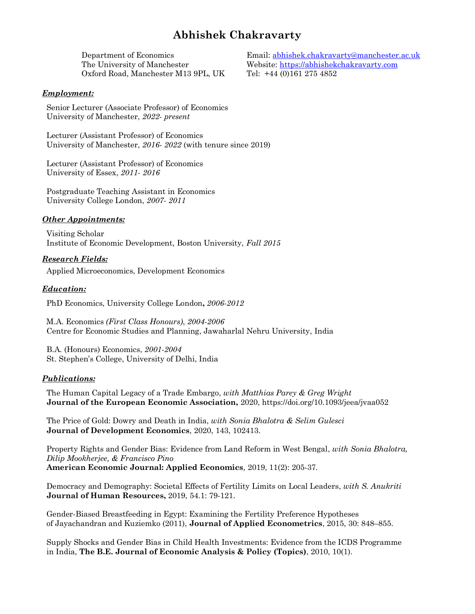# **Abhishek Chakravarty**

Department of Economics The University of Manchester Oxford Road, Manchester M13 9PL, UK

# *Employment:*

 Senior Lecturer (Associate Professor) of Economics University of Manchester, *2022- present*

 Lecturer (Assistant Professor) of Economics University of Manchester, *2016- 2022* (with tenure since 2019)

 Lecturer (Assistant Professor) of Economics University of Essex, *2011- 2016*

 Postgraduate Teaching Assistant in Economics University College London, *2007- 2011*

## *Other Appointments:*

 Visiting Scholar Institute of Economic Development, Boston University, *Fall 2015*

## *Research Fields:*

Applied Microeconomics, Development Economics

#### *Education:*

PhD Economics, University College London**,** *2006-2012*

 M.A. Economics *(First Class Honours)*, *2004-2006* Centre for Economic Studies and Planning, Jawaharlal Nehru University, India

 B.A. (Honours) Economics, *2001-2004* St. Stephen's College, University of Delhi, India

## *Publications:*

 The Human Capital Legacy of a Trade Embargo, *with Matthias Parey & Greg Wright* **Journal of the European Economic Association,** 2020, https://doi.org/10.1093/jeea/jvaa052

 The Price of Gold: Dowry and Death in India, *with Sonia Bhalotra & Selim Gulesci* **Journal of Development Economics**, 2020, 143, 102413.

 Property Rights and Gender Bias: Evidence from Land Reform in West Bengal, *with Sonia Bhalotra, Dilip Mookherjee, & Francisco Pino*  **American Economic Journal: Applied Economics***,* 2019, 11(2): 205-37*.*

 Democracy and Demography: Societal Effects of Fertility Limits on Local Leaders, *with S. Anukriti* **Journal of Human Resources,** 2019, 54.1: 79-121.

 Gender-Biased Breastfeeding in Egypt: Examining the Fertility Preference Hypotheses of Jayachandran and Kuziemko (2011), **Journal of Applied Econometrics**, 2015, 30: 848–855.

 Supply Shocks and Gender Bias in Child Health Investments: Evidence from the ICDS Programme in India, **The B.E. Journal of Economic Analysis & Policy (Topics)**, 2010, 10(1).

Email: [abhishek.chakravarty@manchester.ac.uk](mailto:abhishek.chakravarty@manchester.ac.uk) Website: [https://abhishekchakravarty.com](https://abhishekchakravarty.com/) Tel: +44 (0)161 275 4852